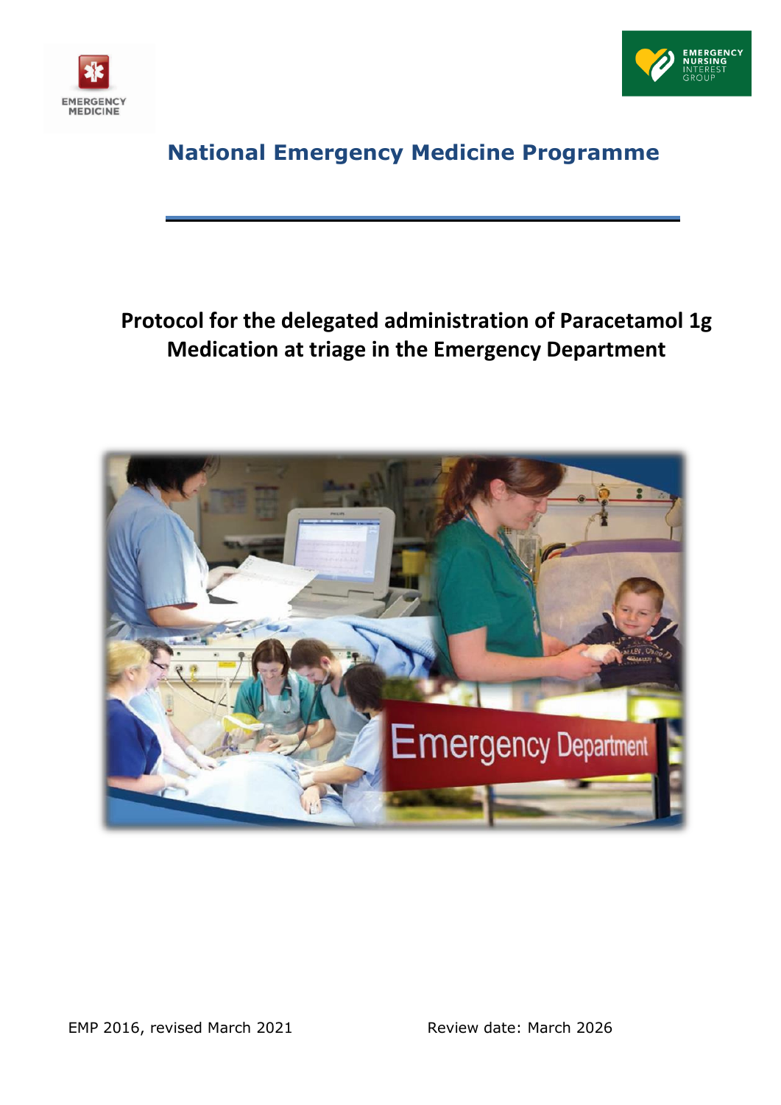



# **National Emergency Medicine Programme**

# **Protocol for the delegated administration of Paracetamol 1g Medication at triage in the Emergency Department**

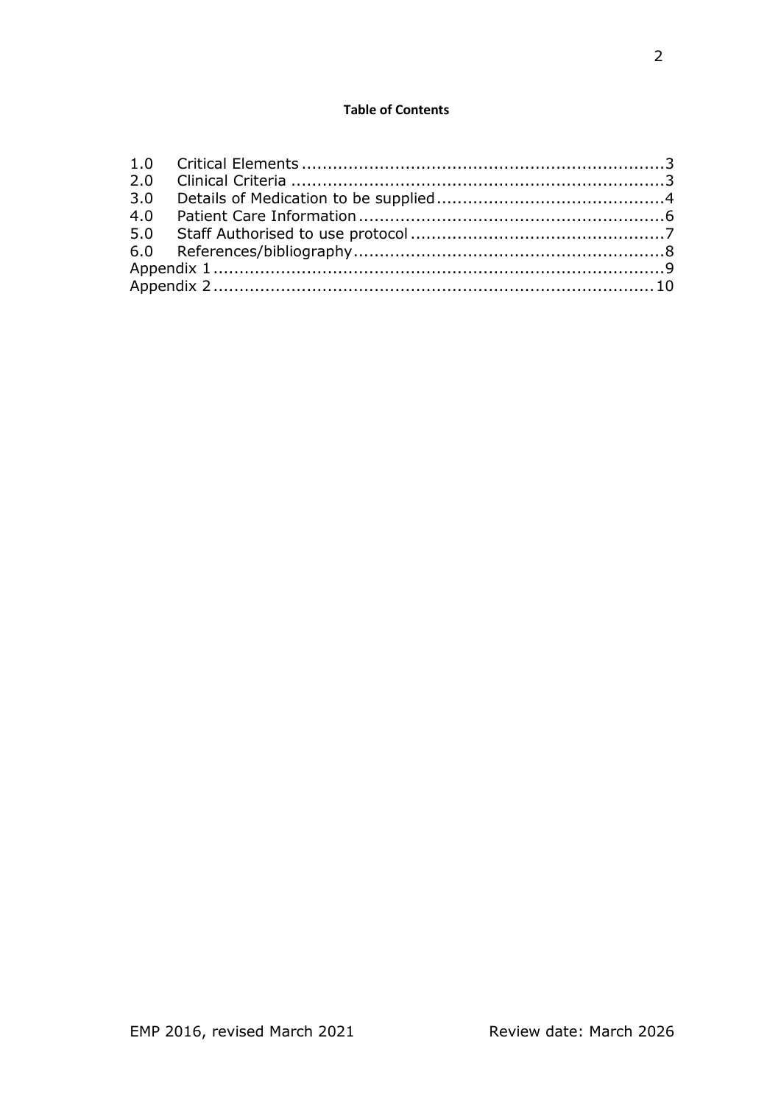# **Table of Contents**

| 3.0 |  |  |  |
|-----|--|--|--|
| 4.0 |  |  |  |
|     |  |  |  |
|     |  |  |  |
|     |  |  |  |
|     |  |  |  |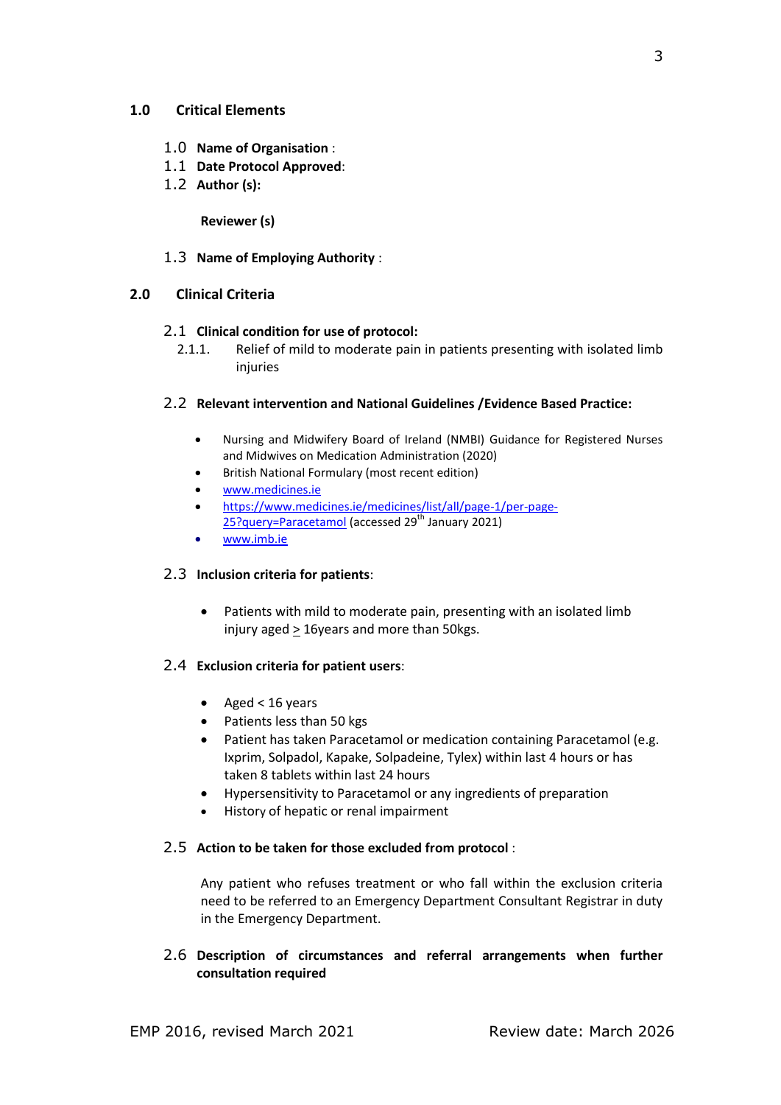## <span id="page-2-0"></span>**1.0 Critical Elements**

- 1.0 **Name of Organisation** :
- 1.1 **Date Protocol Approved**:
- 1.2 **Author (s):**

## **Reviewer (s)**

## 1.3 **Name of Employing Authority** :

# <span id="page-2-1"></span>**2.0 Clinical Criteria**

## 2.1 **Clinical condition for use of protocol:**

2.1.1. Relief of mild to moderate pain in patients presenting with isolated limb injuries

# 2.2 **Relevant intervention and National Guidelines /Evidence Based Practice:**

- Nursing and Midwifery Board of Ireland (NMBI) Guidance for Registered Nurses and Midwives on Medication Administration (2020)
- British National Formulary (most recent edition)
- [www.medicines.ie](http://www.medicines.ie/)
- [https://www.medicines.ie/medicines/list/all/page-1/per-page-](https://www.medicines.ie/medicines/list/all/page-1/per-page-25?query=Paracetamol)[25?query=Paracetamol](https://www.medicines.ie/medicines/list/all/page-1/per-page-25?query=Paracetamol) (accessed 29<sup>th</sup> January 2021)
- [www.imb.ie](http://www.imb.ie/)

## 2.3 **Inclusion criteria for patients**:

 Patients with mild to moderate pain, presenting with an isolated limb injury aged > 16years and more than 50kgs.

## 2.4 **Exclusion criteria for patient users**:

- Aged < 16 years
- Patients less than 50 kgs
- Patient has taken Paracetamol or medication containing Paracetamol (e.g. Ixprim, Solpadol, Kapake, Solpadeine, Tylex) within last 4 hours or has taken 8 tablets within last 24 hours
- Hypersensitivity to Paracetamol or any ingredients of preparation
- History of hepatic or renal impairment

## 2.5 **Action to be taken for those excluded from protocol** :

Any patient who refuses treatment or who fall within the exclusion criteria need to be referred to an Emergency Department Consultant Registrar in duty in the Emergency Department.

# 2.6 **Description of circumstances and referral arrangements when further consultation required**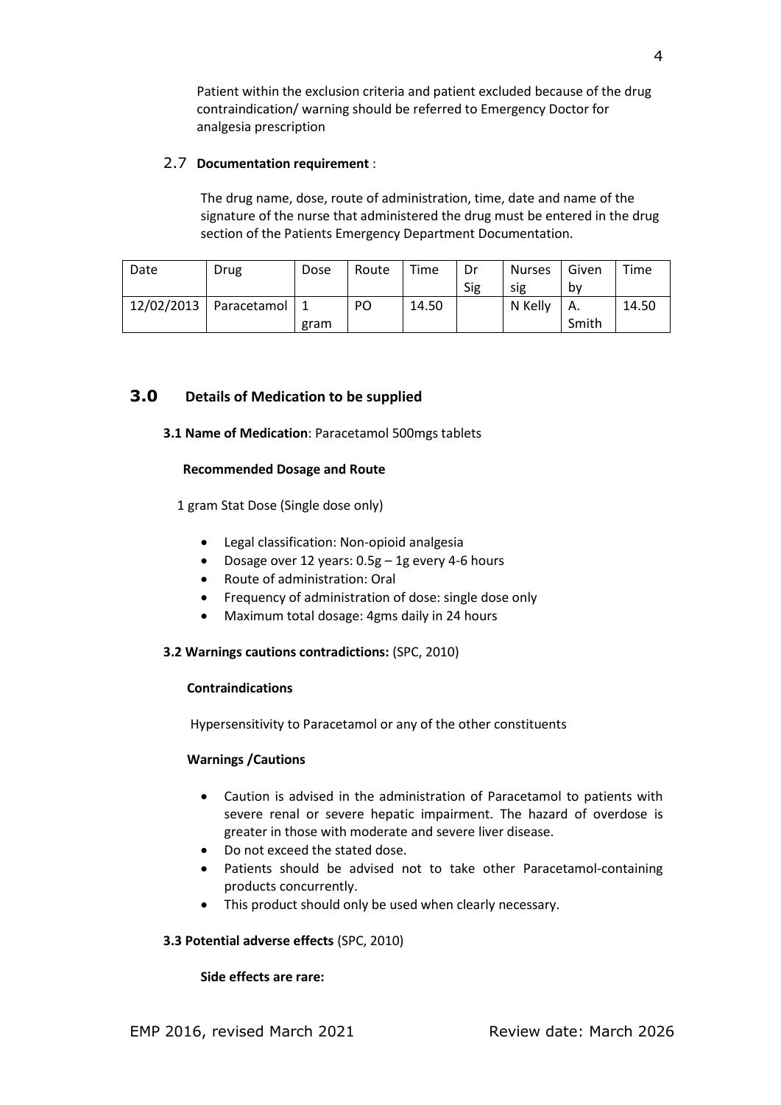Patient within the exclusion criteria and patient excluded because of the drug contraindication/ warning should be referred to Emergency Doctor for analgesia prescription

# 2.7 **Documentation requirement** :

The drug name, dose, route of administration, time, date and name of the signature of the nurse that administered the drug must be entered in the drug section of the Patients Emergency Department Documentation.

| Date | Drug                         | Dose | Route | Time  | Dr  | <b>Nurses</b> | Given     | Time  |
|------|------------------------------|------|-------|-------|-----|---------------|-----------|-------|
|      |                              |      |       |       | Sig | sıg           | b٧        |       |
|      | 12/02/2013   Paracetamol   1 |      | PO    | 14.50 |     | N Kelly       | <b>Α.</b> | 14.50 |
|      |                              | gram |       |       |     |               | Smith     |       |

# <span id="page-3-0"></span>**3.0 Details of Medication to be supplied**

# **3.1 Name of Medication**: Paracetamol 500mgs tablets

## **Recommended Dosage and Route**

1 gram Stat Dose (Single dose only)

- Legal classification: Non-opioid analgesia
- Dosage over 12 years:  $0.5g 1g$  every 4-6 hours
- Route of administration: Oral
- Frequency of administration of dose: single dose only
- Maximum total dosage: 4gms daily in 24 hours

## **3.2 Warnings cautions contradictions:** (SPC, 2010)

## **Contraindications**

Hypersensitivity to Paracetamol or any of the other constituents

## **Warnings /Cautions**

- Caution is advised in the administration of Paracetamol to patients with severe renal or severe hepatic impairment. The hazard of overdose is greater in those with moderate and severe liver disease.
- Do not exceed the stated dose.
- Patients should be advised not to take other Paracetamol-containing products concurrently.
- This product should only be used when clearly necessary.

## **3.3 Potential adverse effects** (SPC, 2010)

## **Side effects are rare:**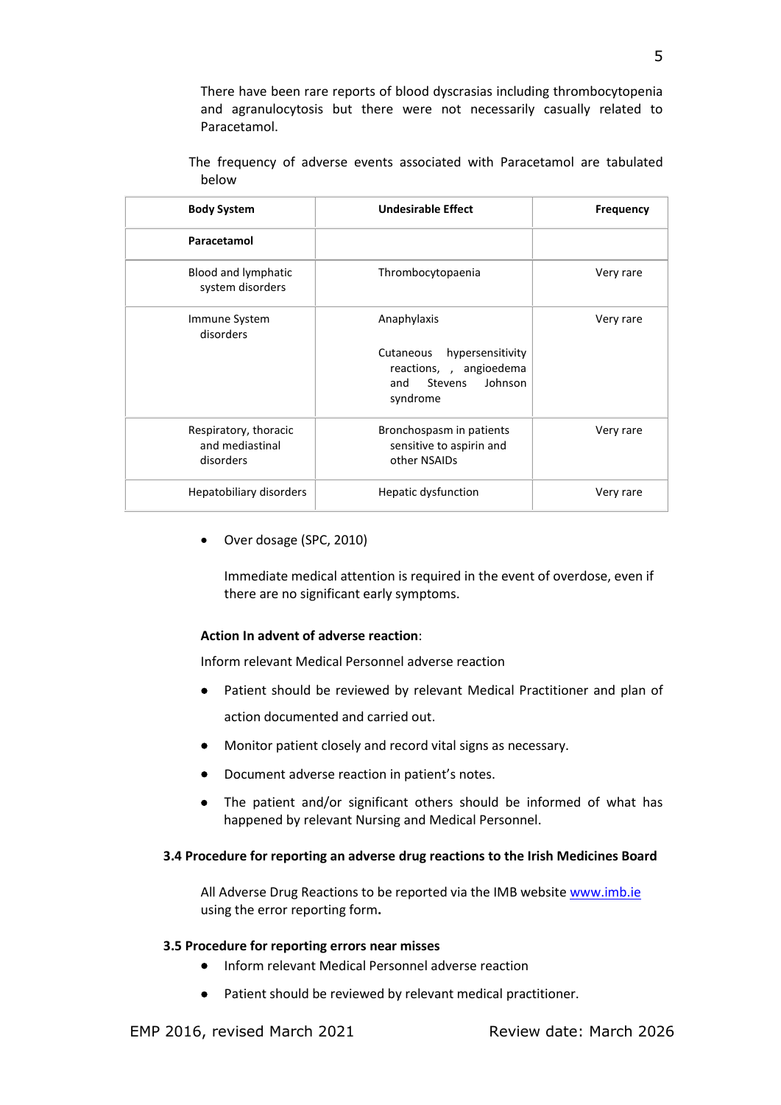There have been rare reports of blood dyscrasias including thrombocytopenia and agranulocytosis but there were not necessarily casually related to Paracetamol.

| <b>Body System</b>                                    | <b>Undesirable Effect</b>                                                                                               | <b>Frequency</b> |
|-------------------------------------------------------|-------------------------------------------------------------------------------------------------------------------------|------------------|
| Paracetamol                                           |                                                                                                                         |                  |
| Blood and lymphatic<br>system disorders               | Thrombocytopaenia                                                                                                       | Very rare        |
| Immune System<br>disorders                            | Anaphylaxis<br>hypersensitivity<br>Cutaneous<br>reactions, , angioedema<br>Johnson<br>and<br><b>Stevens</b><br>syndrome | Very rare        |
| Respiratory, thoracic<br>and mediastinal<br>disorders | Bronchospasm in patients<br>sensitive to aspirin and<br>other NSAIDs                                                    | Very rare        |
| Hepatobiliary disorders                               | Hepatic dysfunction                                                                                                     | Very rare        |

The frequency of adverse events associated with Paracetamol are tabulated below

Over dosage (SPC, 2010)

Immediate medical attention is required in the event of overdose, even if there are no significant early symptoms.

#### **Action In advent of adverse reaction**:

Inform relevant Medical Personnel adverse reaction

- Patient should be reviewed by relevant Medical Practitioner and plan of action documented and carried out.
- Monitor patient closely and record vital signs as necessary.
- Document adverse reaction in patient's notes.
- The patient and/or significant others should be informed of what has happened by relevant Nursing and Medical Personnel.

#### **3.4 Procedure for reporting an adverse drug reactions to the Irish Medicines Board**

All Adverse Drug Reactions to be reported via the IMB websit[e www.imb.ie](http://www.imb.ie/) using the error reporting form**.**

#### **3.5 Procedure for reporting errors near misses**

- Inform relevant Medical Personnel adverse reaction
- Patient should be reviewed by relevant medical practitioner.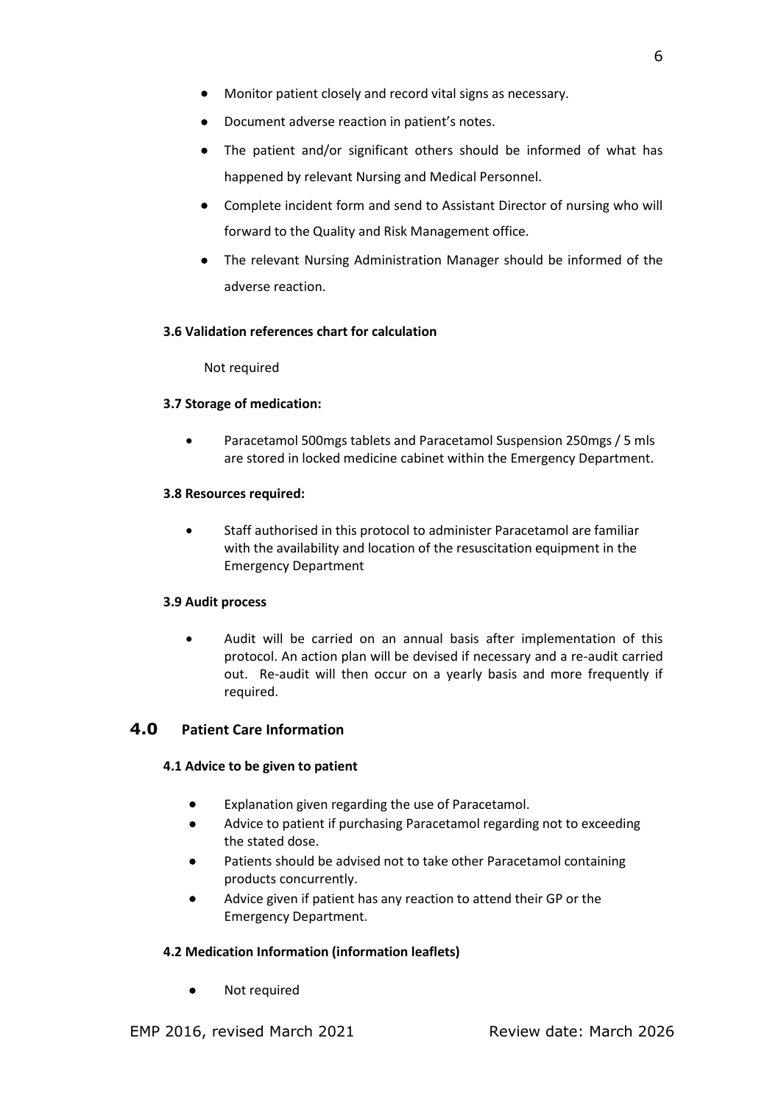- Monitor patient closely and record vital signs as necessary.
- Document adverse reaction in patient's notes.
- The patient and/or significant others should be informed of what has happened by relevant Nursing and Medical Personnel.
- Complete incident form and send to Assistant Director of nursing who will forward to the Quality and Risk Management office.
- The relevant Nursing Administration Manager should be informed of the adverse reaction.

# **3.6 Validation references chart for calculation**

Not required

# **3.7 Storage of medication:**

 Paracetamol 500mgs tablets and Paracetamol Suspension 250mgs / 5 mls are stored in locked medicine cabinet within the Emergency Department.

# **3.8 Resources required:**

 Staff authorised in this protocol to administer Paracetamol are familiar with the availability and location of the resuscitation equipment in the Emergency Department

# **3.9 Audit process**

 Audit will be carried on an annual basis after implementation of this protocol. An action plan will be devised if necessary and a re-audit carried out. Re-audit will then occur on a yearly basis and more frequently if required.

# <span id="page-5-0"></span>**4.0 Patient Care Information**

# **4.1 Advice to be given to patient**

- Explanation given regarding the use of Paracetamol.
- Advice to patient if purchasing Paracetamol regarding not to exceeding the stated dose.
- Patients should be advised not to take other Paracetamol containing products concurrently.
- Advice given if patient has any reaction to attend their GP or the Emergency Department.

# **4.2 Medication Information (information leaflets)**

• Not required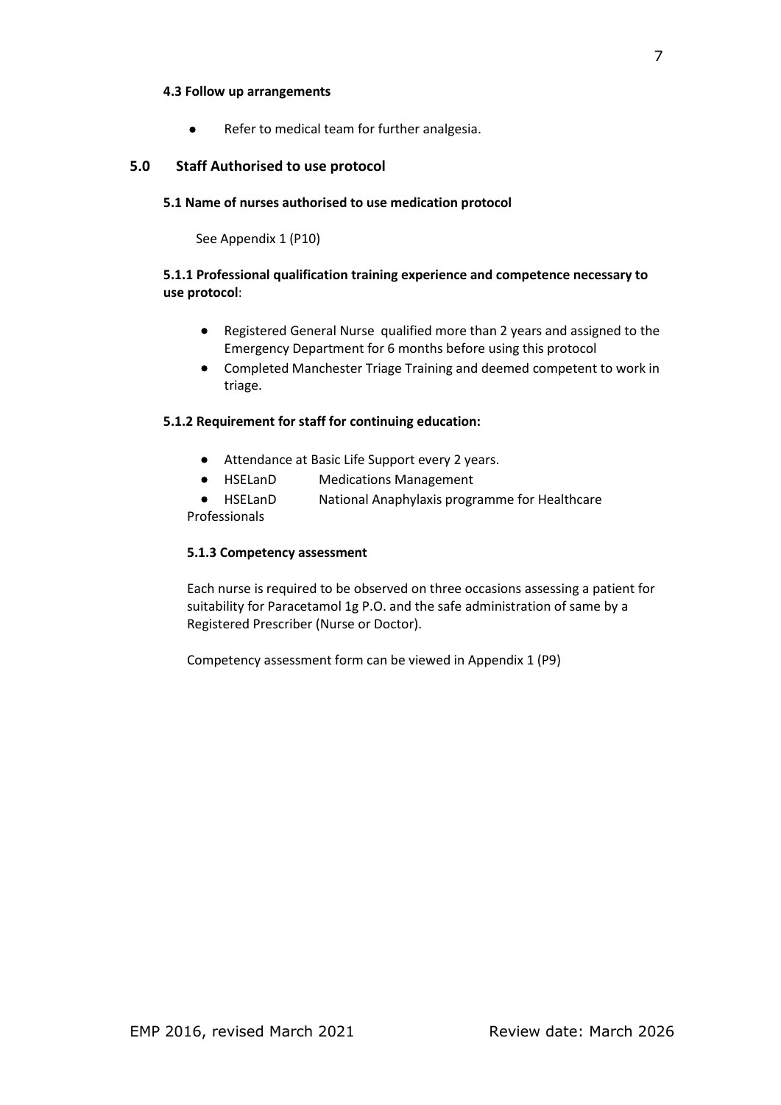## **4.3 Follow up arrangements**

• Refer to medical team for further analgesia.

# <span id="page-6-0"></span>**5.0 Staff Authorised to use protocol**

# **5.1 Name of nurses authorised to use medication protocol**

See Appendix 1 (P10)

# **5.1.1 Professional qualification training experience and competence necessary to use protocol**:

- Registered General Nurse qualified more than 2 years and assigned to the Emergency Department for 6 months before using this protocol
- Completed Manchester Triage Training and deemed competent to work in triage.

# **5.1.2 Requirement for staff for continuing education:**

- Attendance at Basic Life Support every 2 years.
- HSELanD Medications Management
- HSELanD National Anaphylaxis programme for Healthcare

Professionals

## **5.1.3 Competency assessment**

Each nurse is required to be observed on three occasions assessing a patient for suitability for Paracetamol 1g P.O. and the safe administration of same by a Registered Prescriber (Nurse or Doctor).

Competency assessment form can be viewed in Appendix 1 (P9)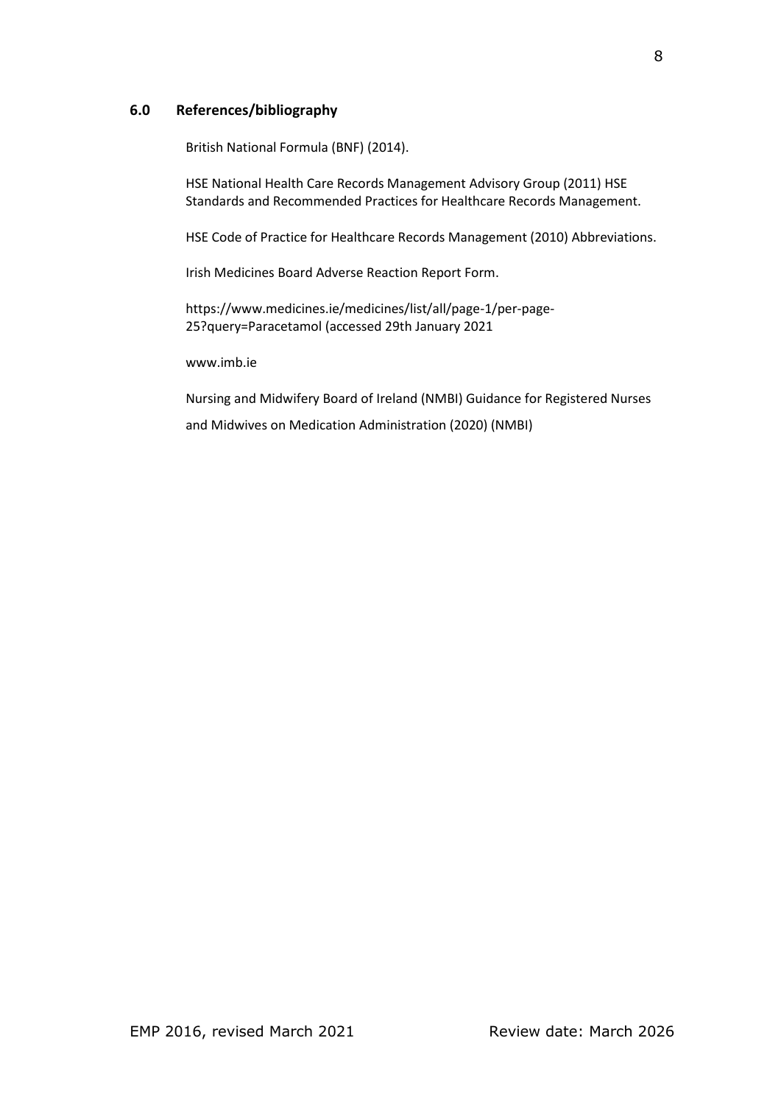# <span id="page-7-0"></span>**6.0 References/bibliography**

British National Formula (BNF) (2014).

HSE National Health Care Records Management Advisory Group (2011) HSE Standards and Recommended Practices for Healthcare Records Management.

HSE Code of Practice for Healthcare Records Management (2010) Abbreviations.

[Irish Medicines Board Adverse Reaction Report Form.](file:///E:/Medication%20Management)

https://www.medicines.ie/medicines/list/all/page-1/per-page-25?query=Paracetamol (accessed 29th January 2021

[www.imb.ie](http://www.imb.ie/)

Nursing and Midwifery Board of Ireland (NMBI) Guidance for Registered Nurses and Midwives on Medication Administration (2020) (NMBI)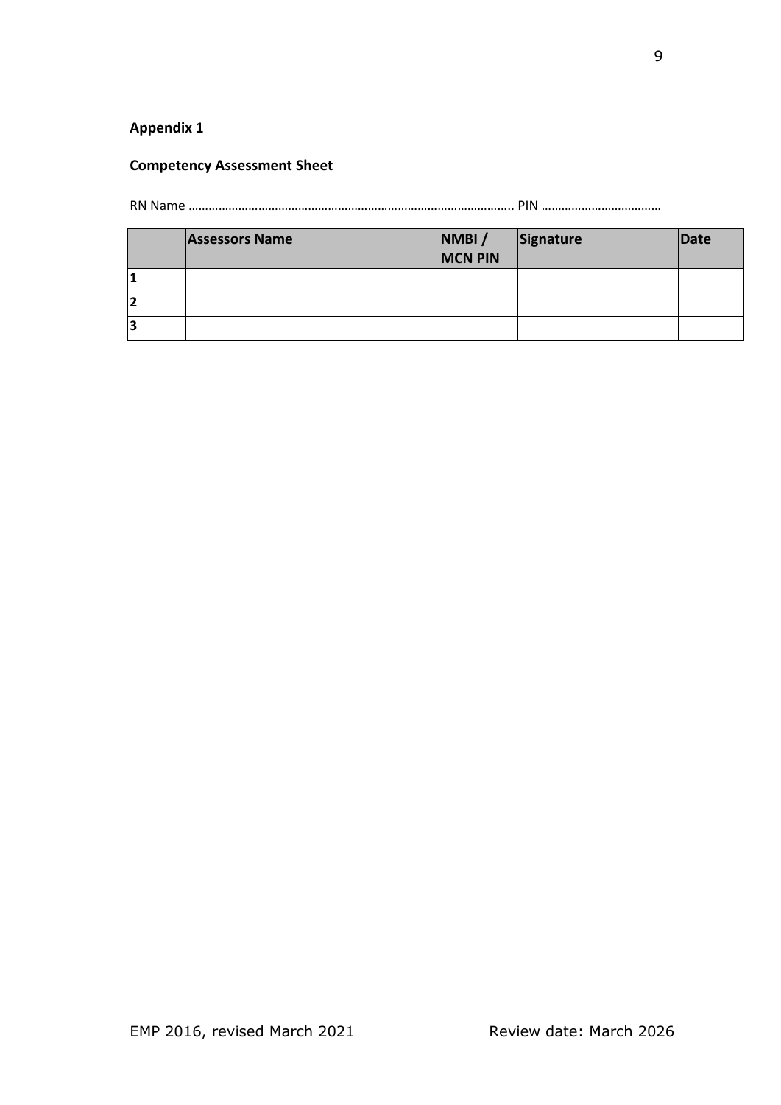# <span id="page-8-0"></span>**Appendix 1**

# **Competency Assessment Sheet**

RN Name …………………………………………………………………………………….. PIN ………………………………

|   | <b>Assessors Name</b> | NMBI/<br><b>MCN PIN</b> | Signature | Date |
|---|-----------------------|-------------------------|-----------|------|
| л |                       |                         |           |      |
|   |                       |                         |           |      |
| з |                       |                         |           |      |